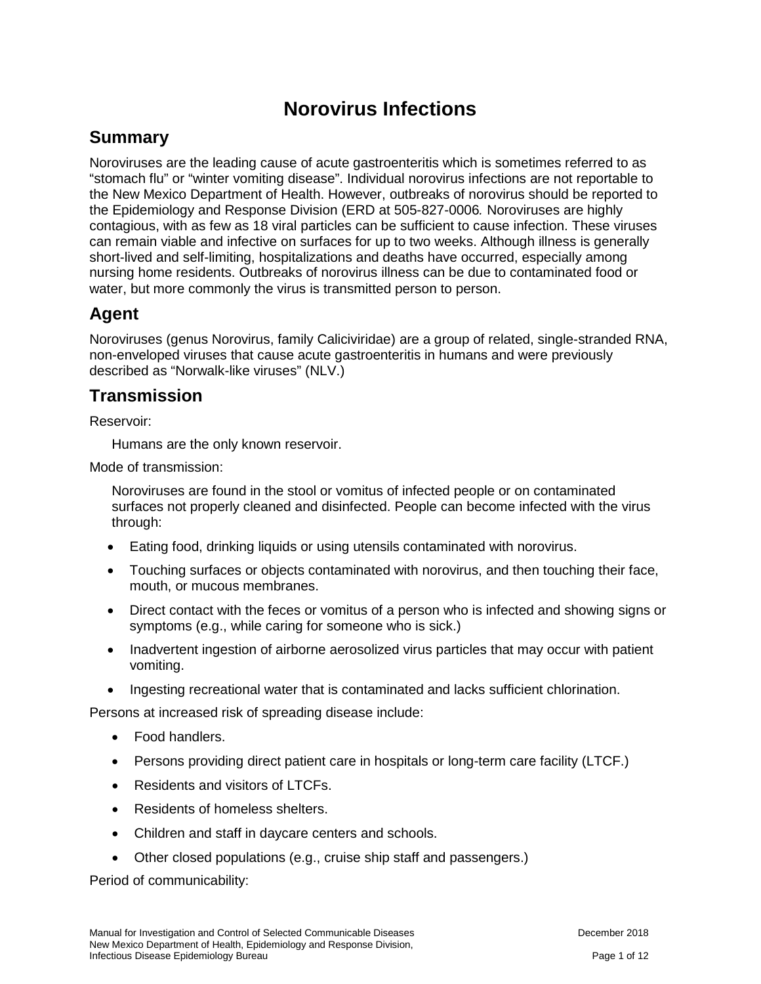# **Norovirus Infections**

# **Summary**

Noroviruses are the leading cause of acute gastroenteritis which is sometimes referred to as "stomach flu" or "winter vomiting disease". Individual norovirus infections are not reportable to the New Mexico Department of Health. However, outbreaks of norovirus should be reported to the Epidemiology and Response Division (ERD at 505-827-0006*.* Noroviruses are highly contagious, with as few as 18 viral particles can be sufficient to cause infection. These viruses can remain viable and infective on surfaces for up to two weeks. Although illness is generally short-lived and self-limiting, hospitalizations and deaths have occurred, especially among nursing home residents. Outbreaks of norovirus illness can be due to contaminated food or water, but more commonly the virus is transmitted person to person.

## **Agent**

Noroviruses (genus Norovirus, family Caliciviridae) are a group of related, single-stranded RNA, non-enveloped viruses that cause acute gastroenteritis in humans and were previously described as "Norwalk-like viruses" (NLV.)

# **Transmission**

Reservoir:

Humans are the only known reservoir.

Mode of transmission:

Noroviruses are found in the stool or vomitus of infected people or on contaminated surfaces not properly cleaned and disinfected. People can become infected with the virus through:

- Eating food, drinking liquids or using utensils contaminated with norovirus.
- Touching surfaces or objects contaminated with norovirus, and then touching their face, mouth, or mucous membranes.
- Direct contact with the feces or vomitus of a person who is infected and showing signs or symptoms (e.g., while caring for someone who is sick.)
- Inadvertent ingestion of airborne aerosolized virus particles that may occur with patient vomiting.
- Ingesting recreational water that is contaminated and lacks sufficient chlorination.

Persons at increased risk of spreading disease include:

- Food handlers.
- Persons providing direct patient care in hospitals or long-term care facility (LTCF.)
- Residents and visitors of LTCFs.
- Residents of homeless shelters.
- Children and staff in daycare centers and schools.
- Other closed populations (e.g., cruise ship staff and passengers.)

Period of communicability: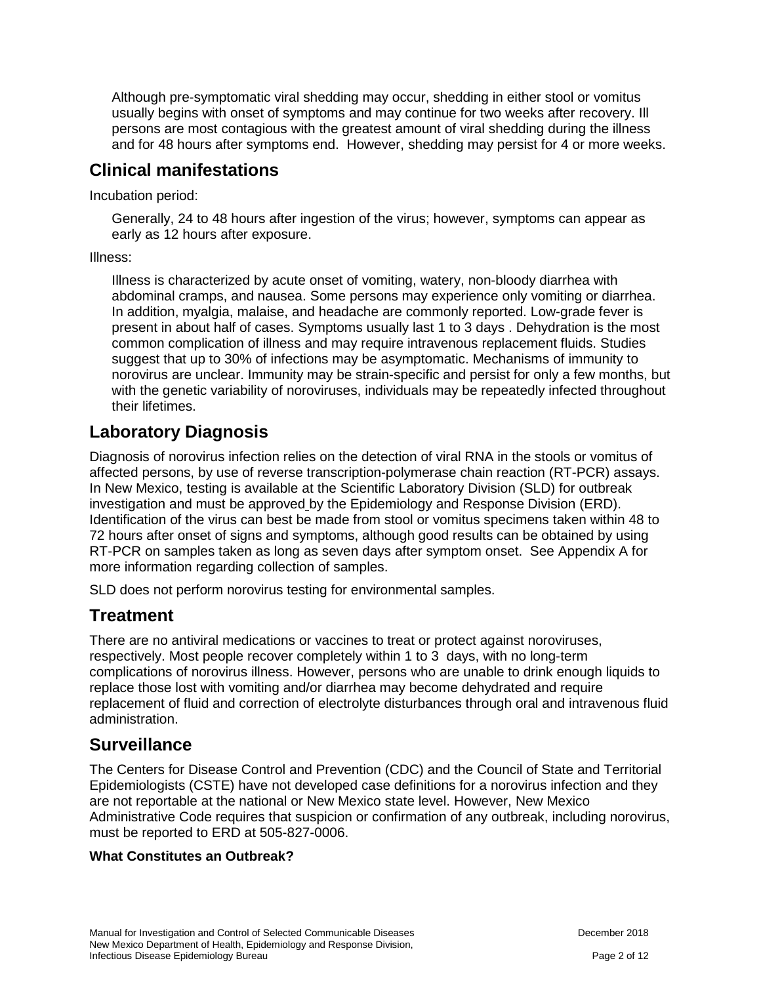Although pre-symptomatic viral shedding may occur, shedding in either stool or vomitus usually begins with onset of symptoms and may continue for two weeks after recovery. Ill persons are most contagious with the greatest amount of viral shedding during the illness and for 48 hours after symptoms end. However, shedding may persist for 4 or more weeks.

# **Clinical manifestations**

Incubation period:

Generally, 24 to 48 hours after ingestion of the virus; however, symptoms can appear as early as 12 hours after exposure.

Illness:

Illness is characterized by acute onset of vomiting, watery, non-bloody diarrhea with abdominal cramps, and nausea. Some persons may experience only vomiting or diarrhea. In addition, myalgia, malaise, and headache are commonly reported. Low-grade fever is present in about half of cases. Symptoms usually last 1 to 3 days . Dehydration is the most common complication of illness and may require intravenous replacement fluids. Studies suggest that up to 30% of infections may be asymptomatic. Mechanisms of immunity to norovirus are unclear. Immunity may be strain-specific and persist for only a few months, but with the genetic variability of noroviruses, individuals may be repeatedly infected throughout their lifetimes.

# **Laboratory Diagnosis**

Diagnosis of norovirus infection relies on the detection of viral RNA in the stools or vomitus of affected persons, by use of reverse transcription-polymerase chain reaction (RT-PCR) assays. In New Mexico, testing is available at the Scientific Laboratory Division (SLD) for outbreak investigation and must be approved by the Epidemiology and Response Division (ERD). Identification of the virus can best be made from stool or vomitus specimens taken within 48 to 72 hours after onset of signs and symptoms, although good results can be obtained by using RT-PCR on samples taken as long as seven days after symptom onset. See Appendix A for more information regarding collection of samples.

SLD does not perform norovirus testing for environmental samples.

## **Treatment**

There are no antiviral medications or vaccines to treat or protect against noroviruses, respectively. Most people recover completely within 1 to 3 days, with no long-term complications of norovirus illness. However, persons who are unable to drink enough liquids to replace those lost with vomiting and/or diarrhea may become dehydrated and require replacement of fluid and correction of electrolyte disturbances through oral and intravenous fluid administration.

## **Surveillance**

The Centers for Disease Control and Prevention (CDC) and the Council of State and Territorial Epidemiologists (CSTE) have not developed case definitions for a norovirus infection and they are not reportable at the national or New Mexico state level. However, New Mexico Administrative Code requires that suspicion or confirmation of any outbreak, including norovirus, must be reported to ERD at 505-827-0006.

## **What Constitutes an Outbreak?**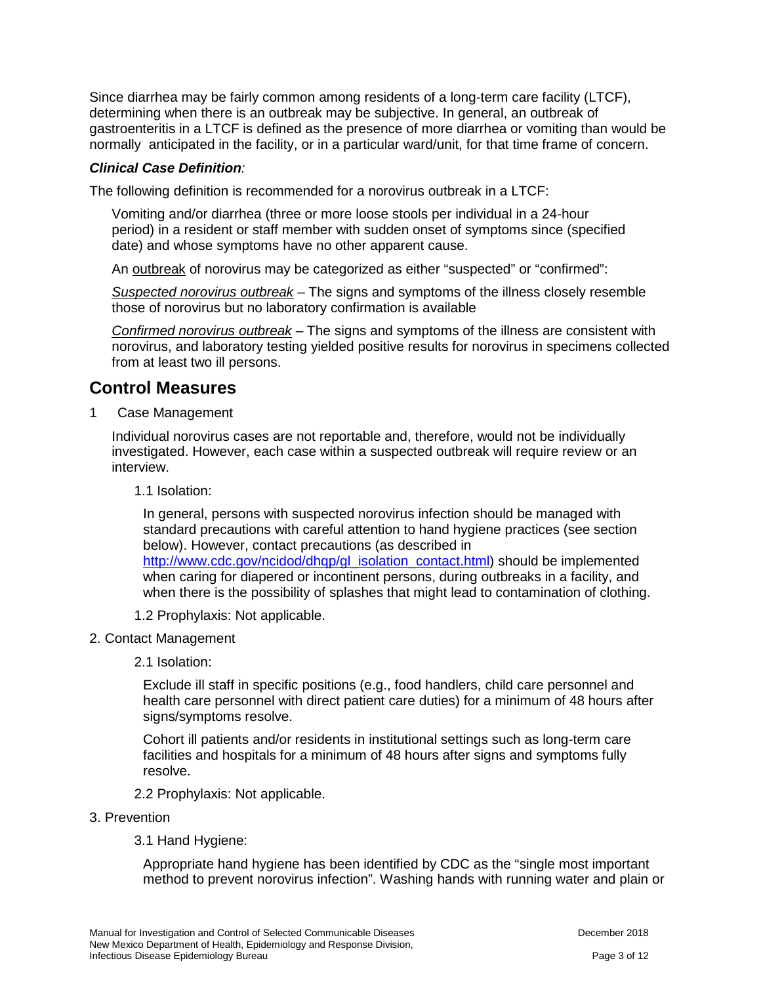Since diarrhea may be fairly common among residents of a long-term care facility (LTCF), determining when there is an outbreak may be subjective. In general, an outbreak of gastroenteritis in a LTCF is defined as the presence of more diarrhea or vomiting than would be normally anticipated in the facility, or in a particular ward/unit, for that time frame of concern.

#### *Clinical Case Definition:*

The following definition is recommended for a norovirus outbreak in a LTCF:

Vomiting and/or diarrhea (three or more loose stools per individual in a 24-hour period) in a resident or staff member with sudden onset of symptoms since (specified date) and whose symptoms have no other apparent cause.

An outbreak of norovirus may be categorized as either "suspected" or "confirmed":

*Suspected norovirus outbreak* – The signs and symptoms of the illness closely resemble those of norovirus but no laboratory confirmation is available

*Confirmed norovirus outbreak* – The signs and symptoms of the illness are consistent with norovirus, and laboratory testing yielded positive results for norovirus in specimens collected from at least two ill persons.

## **Control Measures**

1 Case Management

Individual norovirus cases are not reportable and, therefore, would not be individually investigated. However, each case within a suspected outbreak will require review or an interview.

#### 1.1 Isolation:

In general, persons with suspected norovirus infection should be managed with standard precautions with careful attention to hand hygiene practices (see section below). However, contact precautions (as described in [http://www.cdc.gov/ncidod/dhqp/gl\\_isolation\\_contact.html\)](http://www.cdc.gov/ncidod/dhqp/gl_isolation_contact.html) should be implemented when caring for diapered or incontinent persons, during outbreaks in a facility, and when there is the possibility of splashes that might lead to contamination of clothing.

- 1.2 Prophylaxis: Not applicable.
- 2. Contact Management
	- 2.1 Isolation:

Exclude ill staff in specific positions (e.g., food handlers, child care personnel and health care personnel with direct patient care duties) for a minimum of 48 hours after signs/symptoms resolve.

Cohort ill patients and/or residents in institutional settings such as long-term care facilities and hospitals for a minimum of 48 hours after signs and symptoms fully resolve.

- 2.2 Prophylaxis: Not applicable.
- 3. Prevention
	- 3.1 Hand Hygiene:

Appropriate hand hygiene has been identified by CDC as the "single most important method to prevent norovirus infection". Washing hands with running water and plain or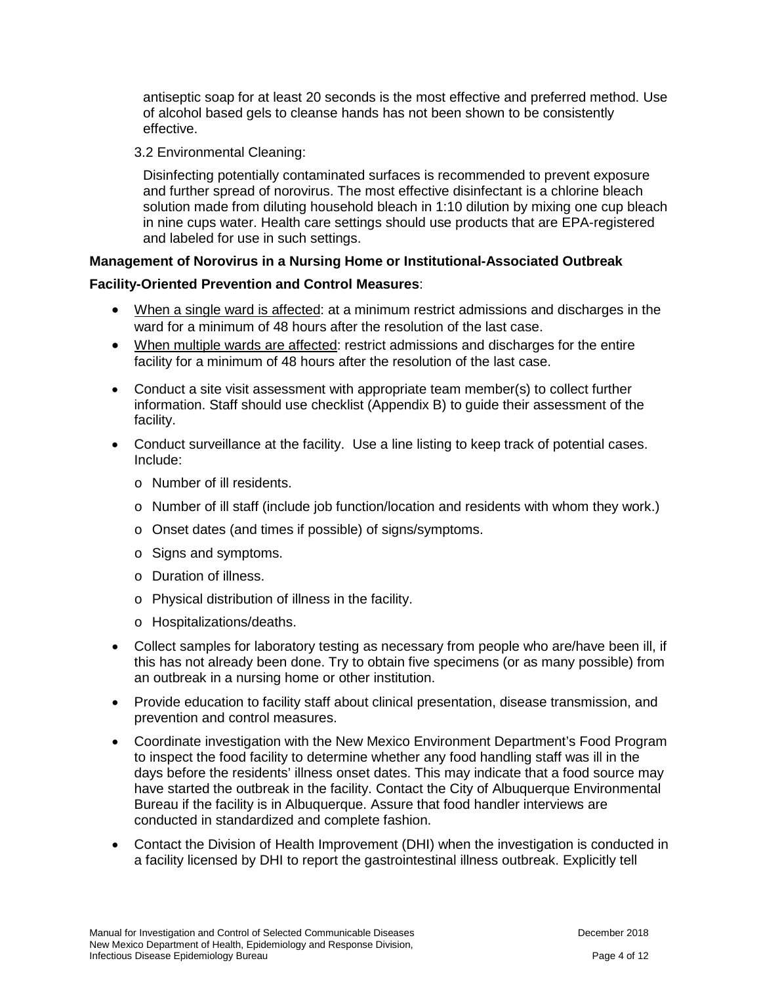antiseptic soap for at least 20 seconds is the most effective and preferred method. Use of alcohol based gels to cleanse hands has not been shown to be consistently effective.

#### 3.2 Environmental Cleaning:

Disinfecting potentially contaminated surfaces is recommended to prevent exposure and further spread of norovirus. The most effective disinfectant is a chlorine bleach solution made from diluting household bleach in 1:10 dilution by mixing one cup bleach in nine cups water. Health care settings should use products that are EPA-registered and labeled for use in such settings.

## **Management of Norovirus in a Nursing Home or Institutional-Associated Outbreak**

## **Facility-Oriented Prevention and Control Measures**:

- When a single ward is affected: at a minimum restrict admissions and discharges in the ward for a minimum of 48 hours after the resolution of the last case.
- When multiple wards are affected: restrict admissions and discharges for the entire facility for a minimum of 48 hours after the resolution of the last case.
- Conduct a site visit assessment with appropriate team member(s) to collect further information. Staff should use checklist (Appendix B) to guide their assessment of the facility.
- Conduct surveillance at the facility. Use a line listing to keep track of potential cases. Include:
	- o Number of ill residents.
	- o Number of ill staff (include job function/location and residents with whom they work.)
	- o Onset dates (and times if possible) of signs/symptoms.
	- o Signs and symptoms.
	- o Duration of illness.
	- o Physical distribution of illness in the facility.
	- o Hospitalizations/deaths.
- Collect samples for laboratory testing as necessary from people who are/have been ill, if this has not already been done. Try to obtain five specimens (or as many possible) from an outbreak in a nursing home or other institution.
- Provide education to facility staff about clinical presentation, disease transmission, and prevention and control measures.
- Coordinate investigation with the New Mexico Environment Department's Food Program to inspect the food facility to determine whether any food handling staff was ill in the days before the residents' illness onset dates. This may indicate that a food source may have started the outbreak in the facility. Contact the City of Albuquerque Environmental Bureau if the facility is in Albuquerque. Assure that food handler interviews are conducted in standardized and complete fashion.
- Contact the Division of Health Improvement (DHI) when the investigation is conducted in a facility licensed by DHI to report the gastrointestinal illness outbreak. Explicitly tell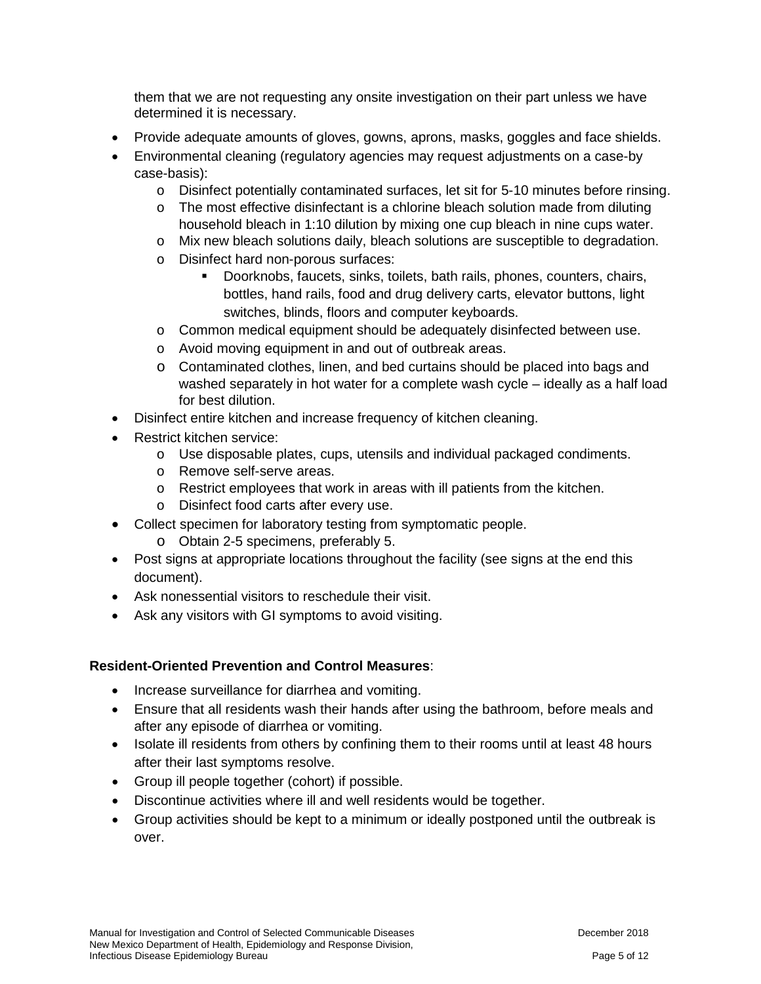them that we are not requesting any onsite investigation on their part unless we have determined it is necessary.

- Provide adequate amounts of gloves, gowns, aprons, masks, goggles and face shields.
- Environmental cleaning (regulatory agencies may request adjustments on a case-by case-basis):
	- o Disinfect potentially contaminated surfaces, let sit for 5-10 minutes before rinsing.
	- o The most effective disinfectant is a chlorine bleach solution made from diluting household bleach in 1:10 dilution by mixing one cup bleach in nine cups water.
	- o Mix new bleach solutions daily, bleach solutions are susceptible to degradation.
	- o Disinfect hard non-porous surfaces:
		- Doorknobs, faucets, sinks, toilets, bath rails, phones, counters, chairs, bottles, hand rails, food and drug delivery carts, elevator buttons, light switches, blinds, floors and computer keyboards.
	- o Common medical equipment should be adequately disinfected between use.
	- o Avoid moving equipment in and out of outbreak areas.
	- o Contaminated clothes, linen, and bed curtains should be placed into bags and washed separately in hot water for a complete wash cycle – ideally as a half load for best dilution.
- Disinfect entire kitchen and increase frequency of kitchen cleaning.
- Restrict kitchen service:
	- o Use disposable plates, cups, utensils and individual packaged condiments.
	- o Remove self-serve areas.
	- o Restrict employees that work in areas with ill patients from the kitchen.
	- o Disinfect food carts after every use.
- Collect specimen for laboratory testing from symptomatic people.
	- o Obtain 2-5 specimens, preferably 5.
- Post signs at appropriate locations throughout the facility (see signs at the end this document).
- Ask nonessential visitors to reschedule their visit.
- Ask any visitors with GI symptoms to avoid visiting.

#### **Resident-Oriented Prevention and Control Measures**:

- Increase surveillance for diarrhea and vomiting.
- Ensure that all residents wash their hands after using the bathroom, before meals and after any episode of diarrhea or vomiting.
- Isolate ill residents from others by confining them to their rooms until at least 48 hours after their last symptoms resolve.
- Group ill people together (cohort) if possible.
- Discontinue activities where ill and well residents would be together.
- Group activities should be kept to a minimum or ideally postponed until the outbreak is over.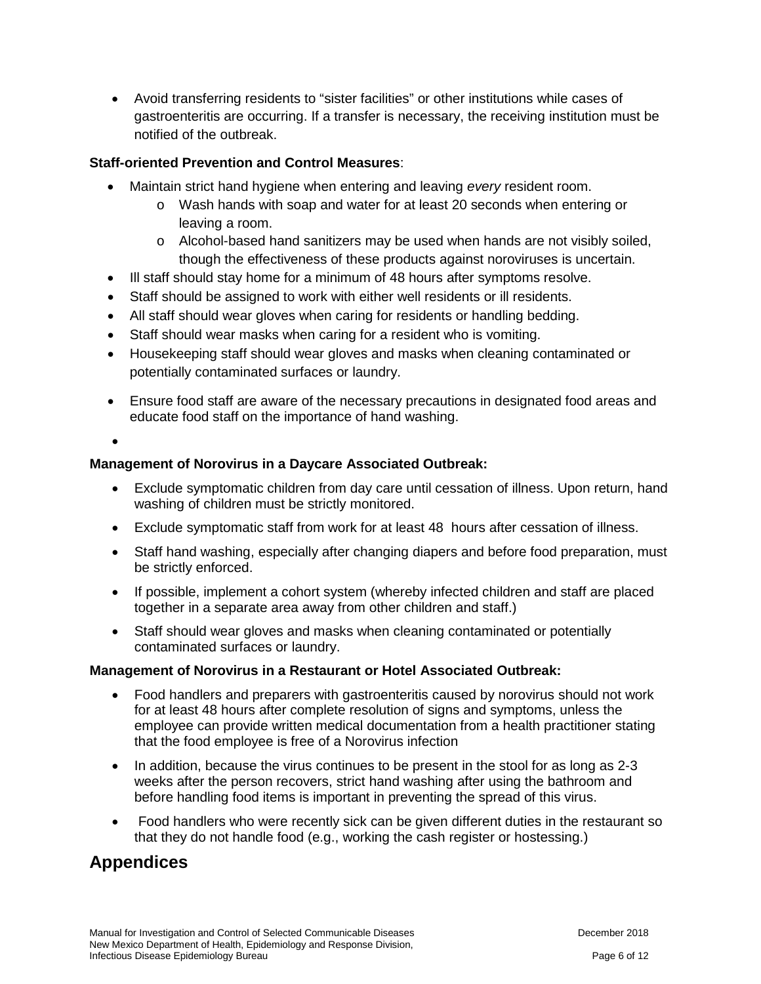• Avoid transferring residents to "sister facilities" or other institutions while cases of gastroenteritis are occurring. If a transfer is necessary, the receiving institution must be notified of the outbreak.

## **Staff-oriented Prevention and Control Measures**:

- Maintain strict hand hygiene when entering and leaving *every* resident room.
	- o Wash hands with soap and water for at least 20 seconds when entering or leaving a room.
	- o Alcohol-based hand sanitizers may be used when hands are not visibly soiled, though the effectiveness of these products against noroviruses is uncertain.
- Ill staff should stay home for a minimum of 48 hours after symptoms resolve.
- Staff should be assigned to work with either well residents or ill residents.
- All staff should wear gloves when caring for residents or handling bedding.
- Staff should wear masks when caring for a resident who is vomiting.
- Housekeeping staff should wear gloves and masks when cleaning contaminated or potentially contaminated surfaces or laundry.
- Ensure food staff are aware of the necessary precautions in designated food areas and educate food staff on the importance of hand washing.

•

## **Management of Norovirus in a Daycare Associated Outbreak:**

- Exclude symptomatic children from day care until cessation of illness. Upon return, hand washing of children must be strictly monitored.
- Exclude symptomatic staff from work for at least 48 hours after cessation of illness.
- Staff hand washing, especially after changing diapers and before food preparation, must be strictly enforced.
- If possible, implement a cohort system (whereby infected children and staff are placed together in a separate area away from other children and staff.)
- Staff should wear gloves and masks when cleaning contaminated or potentially contaminated surfaces or laundry.

## **Management of Norovirus in a Restaurant or Hotel Associated Outbreak:**

- Food handlers and preparers with gastroenteritis caused by norovirus should not work for at least 48 hours after complete resolution of signs and symptoms, unless the employee can provide written medical documentation from a health practitioner stating that the food employee is free of a Norovirus infection
- In addition, because the virus continues to be present in the stool for as long as 2-3 weeks after the person recovers, strict hand washing after using the bathroom and before handling food items is important in preventing the spread of this virus.
- Food handlers who were recently sick can be given different duties in the restaurant so that they do not handle food (e.g., working the cash register or hostessing.)

# **Appendices**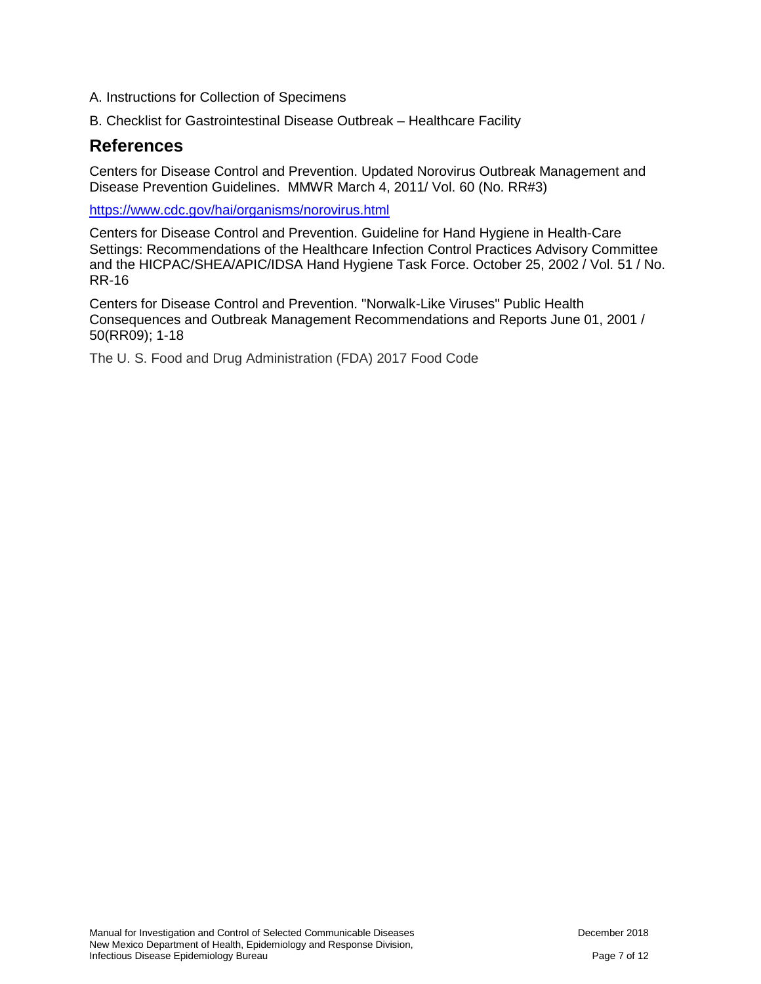- A. Instructions for Collection of Specimens
- B. Checklist for Gastrointestinal Disease Outbreak Healthcare Facility

## **References**

Centers for Disease Control and Prevention. Updated Norovirus Outbreak Management and Disease Prevention Guidelines. MMWR March 4, 2011/ Vol. 60 (No. RR#3)

<https://www.cdc.gov/hai/organisms/norovirus.html>

Centers for Disease Control and Prevention. Guideline for Hand Hygiene in Health-Care Settings: Recommendations of the Healthcare Infection Control Practices Advisory Committee and the HICPAC/SHEA/APIC/IDSA Hand Hygiene Task Force. October 25, 2002 / Vol. 51 / No. RR-16

Centers for Disease Control and Prevention. "Norwalk-Like Viruses" Public Health Consequences and Outbreak Management Recommendations and Reports June 01, 2001 / 50(RR09); 1-18

The U. S. Food and Drug Administration (FDA) 2017 Food Code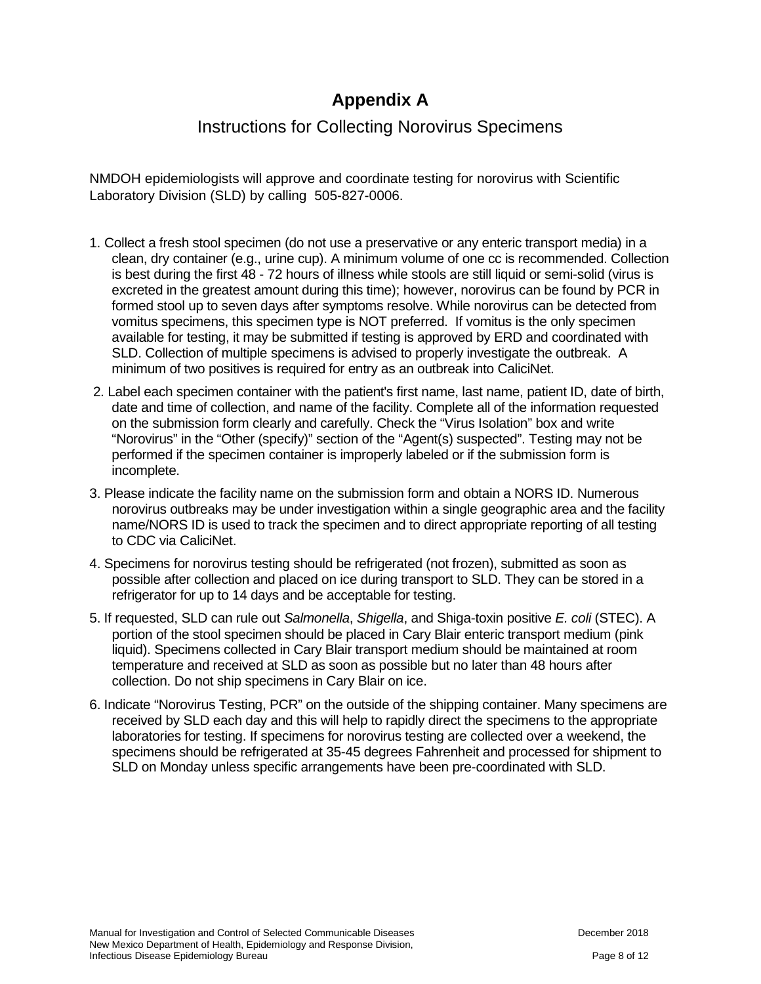# **Appendix A**

## Instructions for Collecting Norovirus Specimens

NMDOH epidemiologists will approve and coordinate testing for norovirus with Scientific Laboratory Division (SLD) by calling 505-827-0006.

- 1. Collect a fresh stool specimen (do not use a preservative or any enteric transport media) in a clean, dry container (e.g., urine cup). A minimum volume of one cc is recommended. Collection is best during the first 48 - 72 hours of illness while stools are still liquid or semi-solid (virus is excreted in the greatest amount during this time); however, norovirus can be found by PCR in formed stool up to seven days after symptoms resolve. While norovirus can be detected from vomitus specimens, this specimen type is NOT preferred. If vomitus is the only specimen available for testing, it may be submitted if testing is approved by ERD and coordinated with SLD. Collection of multiple specimens is advised to properly investigate the outbreak. A minimum of two positives is required for entry as an outbreak into CaliciNet.
- 2. Label each specimen container with the patient's first name, last name, patient ID, date of birth, date and time of collection, and name of the facility. Complete all of the information requested on the submission form clearly and carefully. Check the "Virus Isolation" box and write "Norovirus" in the "Other (specify)" section of the "Agent(s) suspected". Testing may not be performed if the specimen container is improperly labeled or if the submission form is incomplete.
- 3. Please indicate the facility name on the submission form and obtain a NORS ID. Numerous norovirus outbreaks may be under investigation within a single geographic area and the facility name/NORS ID is used to track the specimen and to direct appropriate reporting of all testing to CDC via CaliciNet.
- 4. Specimens for norovirus testing should be refrigerated (not frozen), submitted as soon as possible after collection and placed on ice during transport to SLD. They can be stored in a refrigerator for up to 14 days and be acceptable for testing.
- 5. If requested, SLD can rule out *Salmonella*, *Shigella*, and Shiga-toxin positive *E. coli* (STEC). A portion of the stool specimen should be placed in Cary Blair enteric transport medium (pink liquid). Specimens collected in Cary Blair transport medium should be maintained at room temperature and received at SLD as soon as possible but no later than 48 hours after collection. Do not ship specimens in Cary Blair on ice.
- 6. Indicate "Norovirus Testing, PCR" on the outside of the shipping container. Many specimens are received by SLD each day and this will help to rapidly direct the specimens to the appropriate laboratories for testing. If specimens for norovirus testing are collected over a weekend, the specimens should be refrigerated at 35-45 degrees Fahrenheit and processed for shipment to SLD on Monday unless specific arrangements have been pre-coordinated with SLD.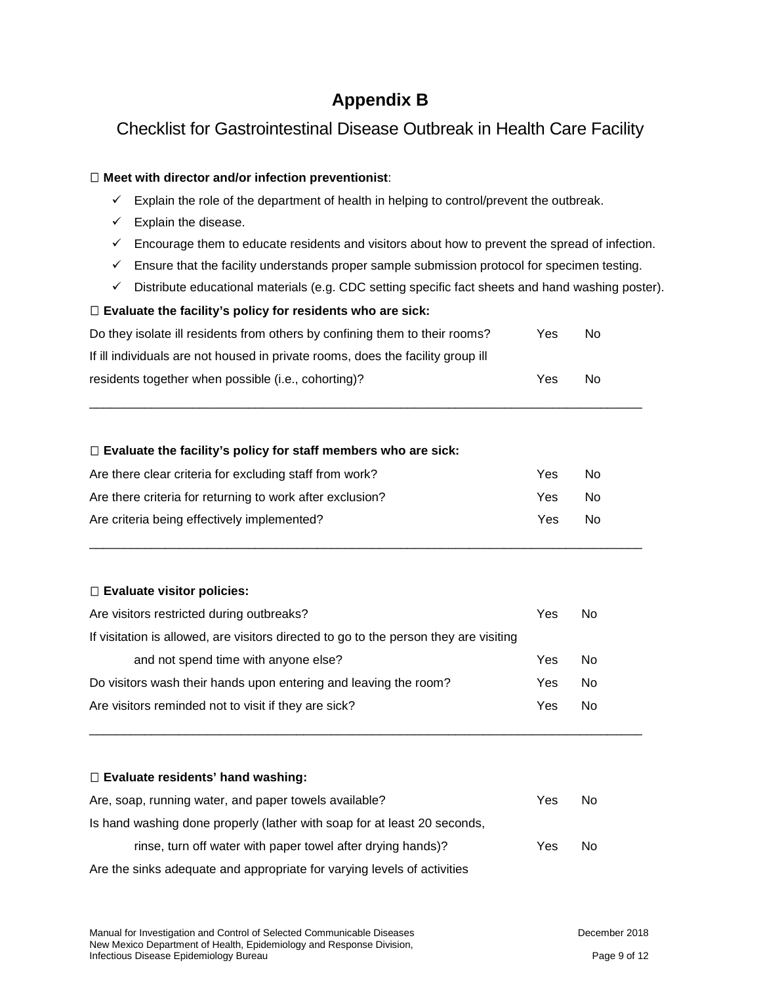# **Appendix B**

# Checklist for Gastrointestinal Disease Outbreak in Health Care Facility

#### **Meet with director and/or infection preventionist**:

- $\checkmark$  Explain the role of the department of health in helping to control/prevent the outbreak.
- $\checkmark$  Explain the disease.
- $\checkmark$  Encourage them to educate residents and visitors about how to prevent the spread of infection.
- $\checkmark$  Ensure that the facility understands proper sample submission protocol for specimen testing.
- $\checkmark$  Distribute educational materials (e.g. CDC setting specific fact sheets and hand washing poster).

#### **Evaluate the facility's policy for residents who are sick:**

| Do they isolate ill residents from others by confining them to their rooms?     | Yes | No. |
|---------------------------------------------------------------------------------|-----|-----|
| If ill individuals are not housed in private rooms, does the facility group ill |     |     |
| residents together when possible (i.e., cohorting)?                             | Yes | No. |

\_\_\_\_\_\_\_\_\_\_\_\_\_\_\_\_\_\_\_\_\_\_\_\_\_\_\_\_\_\_\_\_\_\_\_\_\_\_\_\_\_\_\_\_\_\_\_\_\_\_\_\_\_\_\_\_\_\_\_\_\_\_\_\_\_\_\_\_\_\_\_\_\_\_\_\_\_\_\_\_

#### **Evaluate the facility's policy for staff members who are sick:**

| Are there clear criteria for excluding staff from work?   | Yes | N٥ |
|-----------------------------------------------------------|-----|----|
| Are there criteria for returning to work after exclusion? | Yes | N٥ |
| Are criteria being effectively implemented?               | Yes | N٥ |

\_\_\_\_\_\_\_\_\_\_\_\_\_\_\_\_\_\_\_\_\_\_\_\_\_\_\_\_\_\_\_\_\_\_\_\_\_\_\_\_\_\_\_\_\_\_\_\_\_\_\_\_\_\_\_\_\_\_\_\_\_\_\_\_\_\_\_\_\_\_\_\_\_\_\_\_\_\_\_\_

#### **Evaluate visitor policies:**

| Are visitors restricted during outbreaks?                                             | Yes | No |
|---------------------------------------------------------------------------------------|-----|----|
| If visitation is allowed, are visitors directed to go to the person they are visiting |     |    |
| and not spend time with anyone else?                                                  | Yes | No |
| Do visitors wash their hands upon entering and leaving the room?                      | Yes | No |
| Are visitors reminded not to visit if they are sick?                                  | Yes | No |

\_\_\_\_\_\_\_\_\_\_\_\_\_\_\_\_\_\_\_\_\_\_\_\_\_\_\_\_\_\_\_\_\_\_\_\_\_\_\_\_\_\_\_\_\_\_\_\_\_\_\_\_\_\_\_\_\_\_\_\_\_\_\_\_\_\_\_\_\_\_\_\_\_\_\_\_\_\_\_\_

#### **Evaluate residents' hand washing:**

| Are, soap, running water, and paper towels available?                    | Yes | No |
|--------------------------------------------------------------------------|-----|----|
| Is hand washing done properly (lather with soap for at least 20 seconds, |     |    |
| rinse, turn off water with paper towel after drying hands)?              | Yes | No |
| Are the sinks adequate and appropriate for varying levels of activities  |     |    |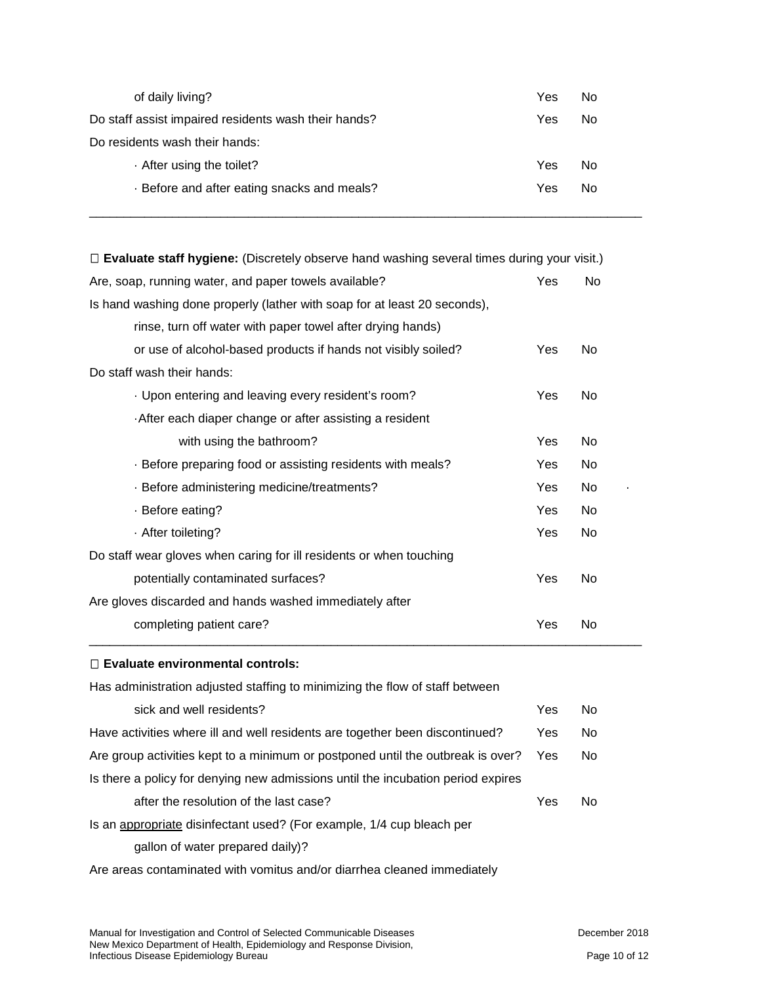| of daily living?                                     | Yes | No  |
|------------------------------------------------------|-----|-----|
| Do staff assist impaired residents wash their hands? | Yes | No  |
| Do residents wash their hands:                       |     |     |
| After using the toilet?                              | Yes | No. |
| . Before and after eating snacks and meals?          | Yes | No. |
|                                                      |     |     |

\_\_\_\_\_\_\_\_\_\_\_\_\_\_\_\_\_\_\_\_\_\_\_\_\_\_\_\_\_\_\_\_\_\_\_\_\_\_\_\_\_\_\_\_\_\_\_\_\_\_\_\_\_\_\_\_\_\_\_\_\_\_\_\_\_\_\_\_\_\_\_\_\_\_\_\_\_\_\_\_

| $\Box$ Evaluate staff hygiene: (Discretely observe hand washing several times during your visit.) |     |                |
|---------------------------------------------------------------------------------------------------|-----|----------------|
| Are, soap, running water, and paper towels available?                                             | Yes | No             |
| Is hand washing done properly (lather with soap for at least 20 seconds),                         |     |                |
| rinse, turn off water with paper towel after drying hands)                                        |     |                |
| or use of alcohol-based products if hands not visibly soiled?                                     | Yes | No             |
| Do staff wash their hands:                                                                        |     |                |
| · Upon entering and leaving every resident's room?                                                | Yes | N <sub>0</sub> |
| After each diaper change or after assisting a resident                                            |     |                |
| with using the bathroom?                                                                          | Yes | No             |
| · Before preparing food or assisting residents with meals?                                        | Yes | <b>No</b>      |
| · Before administering medicine/treatments?                                                       | Yes | No             |
| · Before eating?                                                                                  | Yes | No             |
| · After toileting?                                                                                | Yes | <b>No</b>      |
| Do staff wear gloves when caring for ill residents or when touching                               |     |                |
| potentially contaminated surfaces?                                                                | Yes | No             |
| Are gloves discarded and hands washed immediately after                                           |     |                |
| completing patient care?                                                                          | Yes | No             |

#### **Evaluate environmental controls:**

| Has administration adjusted staffing to minimizing the flow of staff between     |            |     |
|----------------------------------------------------------------------------------|------------|-----|
| sick and well residents?                                                         | Yes        | No. |
| Have activities where ill and well residents are together been discontinued?     | Yes        | No. |
| Are group activities kept to a minimum or postponed until the outbreak is over?  | <b>Yes</b> | No. |
| Is there a policy for denying new admissions until the incubation period expires |            |     |
| after the resolution of the last case?                                           | Yes        | No. |
| Is an appropriate disinfectant used? (For example, 1/4 cup bleach per            |            |     |

gallon of water prepared daily)?

Are areas contaminated with vomitus and/or diarrhea cleaned immediately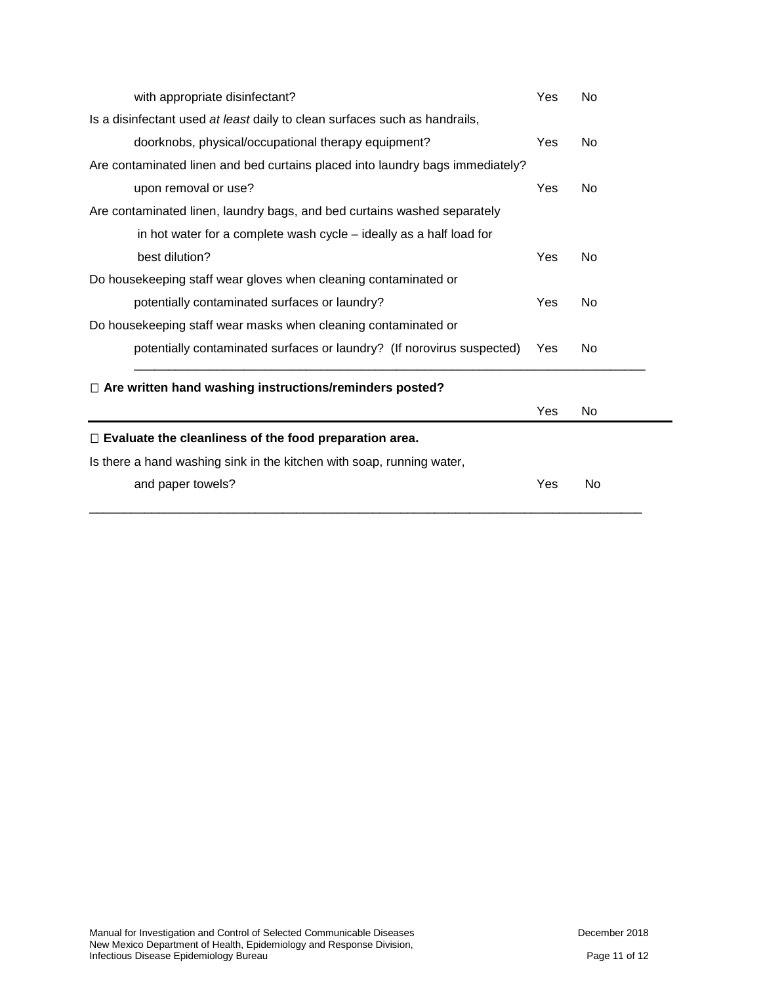| with appropriate disinfectant?                                                | Yes | No             |
|-------------------------------------------------------------------------------|-----|----------------|
| Is a disinfectant used at least daily to clean surfaces such as handrails,    |     |                |
| doorknobs, physical/occupational therapy equipment?                           | Yes | N <sub>0</sub> |
| Are contaminated linen and bed curtains placed into laundry bags immediately? |     |                |
| upon removal or use?                                                          | Yes | <b>No</b>      |
| Are contaminated linen, laundry bags, and bed curtains washed separately      |     |                |
| in hot water for a complete wash cycle – ideally as a half load for           |     |                |
| best dilution?                                                                | Yes | No             |
| Do housekeeping staff wear gloves when cleaning contaminated or               |     |                |
| potentially contaminated surfaces or laundry?                                 | Yes | <b>No</b>      |
| Do housekeeping staff wear masks when cleaning contaminated or                |     |                |
| potentially contaminated surfaces or laundry? (If norovirus suspected)        | Yes | No             |
| $\Box$ Are written hand washing instructions/reminders posted?                |     |                |
|                                                                               | Yes | <b>No</b>      |
| $\Box$ Evaluate the cleanliness of the food preparation area.                 |     |                |
| Is there a hand washing sink in the kitchen with soap, running water,         |     |                |
| and paper towels?                                                             | Yes | No             |